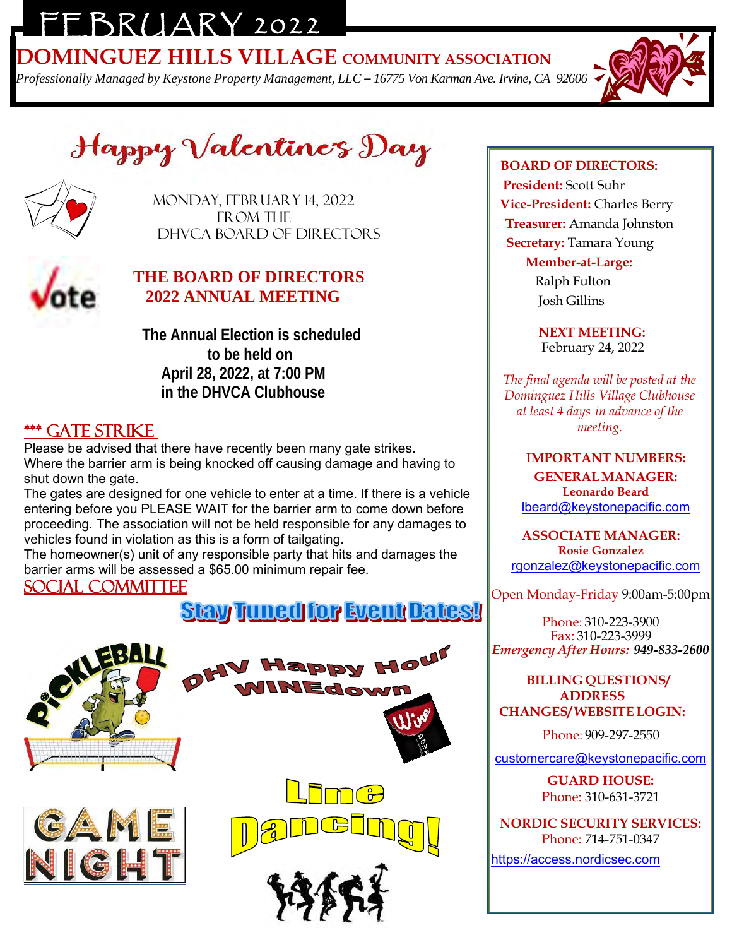# FEBRUARY 2022

## **DOMINGUEZ HILLS VILLAGE COMMUNITY ASSOCIATION**

*Professionally Managed by Keystone Property Management, LLC – 16775 Von Karman Ave. Irvine, CA 92606*



Happy Valentines Day



Monday, February 14, 2022 FROM THE DHVCA BOARD OF DIRECTORS



### **THE BOARD OF DIRECTORS 2022 ANNUAL MEETING**

 **The Annual Election is scheduled to be held on April 28, 2022, at 7:00 PM in the DHVCA Clubhouse** 

### \*\*\* Gate strike

Please be advised that there have recently been many gate strikes. Where the barrier arm is being knocked off causing damage and having to shut down the gate.

The gates are designed for one vehicle to enter at a time. If there is a vehicle entering before you PLEASE WAIT for the barrier arm to come down before proceeding. The association will not be held responsible for any damages to vehicles found in violation as this is a form of tailgating.

The homeowner(s) unit of any responsible party that hits and damages the barrier arms will be assessed a \$65.00 minimum repair fee.

### SOCIAL COMMITTEE

## **Stay Tuned for Event Dates!**

gomu









### **BOARD OF DIRECTORS:**

 **President:** Scott Suhr **Vice-President:** Charles Berry **Treasurer:** Amanda Johnston  **Secretary:** Tamara Young  **Member-at-Large:**

> Ralph Fulton Josh Gillins

 **NEXT MEETING:** February 24, 2022

*The final agenda will be posted at the Dominguez Hills Village Clubhouse at least 4 days in advance of the meeting.*

**IMPORTANT NUMBERS: GENERALMANAGER: Leonardo Beard** [lbeard@keystonepacific.com](mailto:lbeard@keystonepacific.com)

**ASSOCIATE MANAGER: Rosie Gonzalez** [rgonzalez@keystonepacific.com](mailto:rgonzalez@keystonepacific.com)

Open Monday-Friday 9:00am-5:00pm

Phone: 310-223-3900 Fax: 310-223-3999 *Emergency After Hours: 949-833-2600*

 **BILLING QUESTIONS/ ADDRESS CHANGES/ WEBSITE LOGIN:**

Phone: 909-297-2550

[customercare@keystonepacific.com](mailto:customercare@keystonepacific.com)

**GUARD HOUSE:** Phone: 310-631-3721

**NORDIC SECURITY SERVICES:** Phone: 714-751-0347

[https://access.nordicsec.com](https://access.nordicsec.com/)